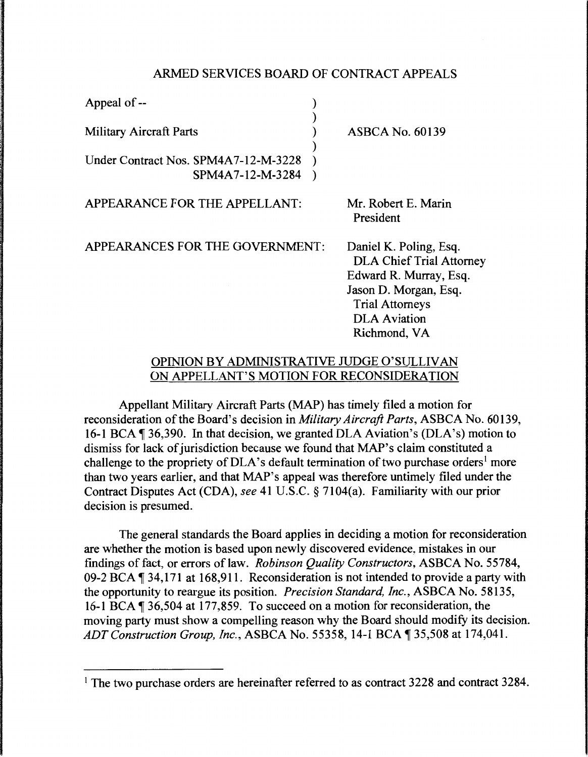## ARMED SERVICES BOARD OF CONTRACT APPEALS

| Appeal of --                                             |                                                                                                                                                                               |
|----------------------------------------------------------|-------------------------------------------------------------------------------------------------------------------------------------------------------------------------------|
| <b>Military Aircraft Parts</b>                           | <b>ASBCA No. 60139</b>                                                                                                                                                        |
| Under Contract Nos. SPM4A7-12-M-3228<br>SPM4A7-12-M-3284 |                                                                                                                                                                               |
| APPEARANCE FOR THE APPELLANT:                            | Mr. Robert E. Marin<br>President                                                                                                                                              |
| APPEARANCES FOR THE GOVERNMENT:                          | Daniel K. Poling, Esq.<br><b>DLA Chief Trial Attorney</b><br>Edward R. Murray, Esq.<br>Jason D. Morgan, Esq.<br><b>Trial Attorneys</b><br><b>DLA</b> Aviation<br>Richmond, VA |

## OPINION BY ADMINISTRATIVE JUDGE O'SULLIVAN ON APPELLANT'S MOTION FOR RECONSIDERATION

Appellant Military Aircraft Parts (MAP) has timely filed a motion for reconsideration of the Board's decision in *Military Aircraft Parts,* ASBCA No. 60139, 16-1 BCA  $\P$  36,390. In that decision, we granted DLA Aviation's (DLA's) motion to dismiss for lack of jurisdiction because we found that MAP's claim constituted a challenge to the propriety of  $DLA$ 's default termination of two purchase orders<sup>1</sup> more than two years earlier, and that MAP's appeal was therefore untimely filed under the Contract Disputes Act (CDA), *see* 41 U.S.C. § 7104(a). Familiarity with our prior decision is presumed.

The general standards the Board applies in deciding a motion for reconsideration are whether the motion is based upon newly discovered evidence, mistakes in our findings of fact, or errors of law. *Robinson Quality Constructors*, ASBCA No. 55784, 09-2 BCA  $\P$  34,171 at 168,911. Reconsideration is not intended to provide a party with the opportunity to reargue its position. *Precision Standard, Inc.,* ASBCA No. 58135, 16-1 BCA ¶ 36,504 at 177,859. To succeed on a motion for reconsideration, the moving party must show a compelling reason why the Board should modify its decision. *ADT Construction Group, Inc., ASBCA No.* 55358, 14-1 BCA ¶ 35,508 at 174,041.

<sup>&</sup>lt;sup>1</sup> The two purchase orders are hereinafter referred to as contract 3228 and contract 3284.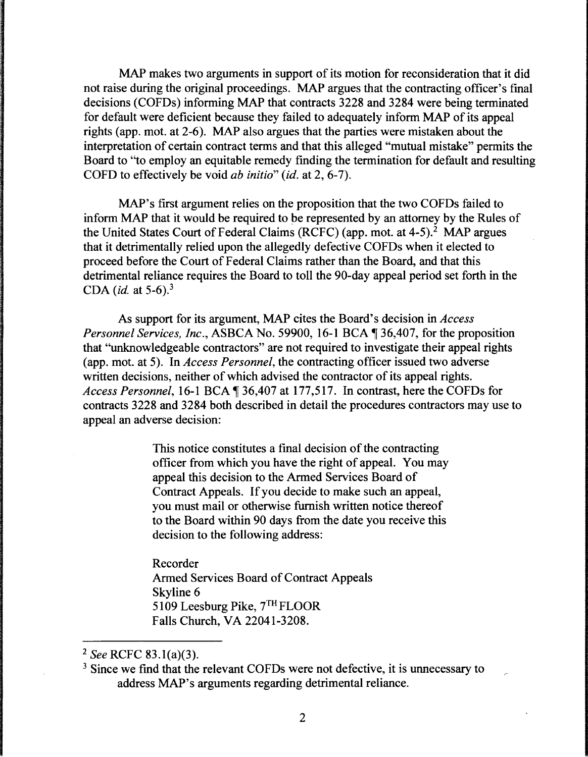MAP makes two arguments in support of its motion for reconsideration that it did not raise during the original proceedings. MAP argues that the contracting officer's final decisions (COFDs) informing MAP that contracts 3228 and 3284 were being terminated for default were deficient because they failed to adequately inform MAP of its appeal rights (app. mot. at 2-6). MAP also argues that the parties were mistaken about the interpretation of certain contract terms and that this alleged "mutual mistake" permits the Board to "to employ an equitable remedy finding the termination for default and resulting COFD to effectively be void *ab initio" (id.* at 2, 6-7).

MAP's first argument relies on the proposition that the two COFDs failed to inform MAP that it would be required to be represented by an attorney by the Rules of the United States Court of Federal Claims (RCFC) (app. mot. at  $4-5$ ).<sup>2</sup> MAP argues that it detrimentally relied upon the allegedly defective COFDs when it elected to proceed before the Court of Federal Claims rather than the Board, and that this detrimental reliance requires the Board to toll the 90-day appeal period set forth in the CDA *(id.* at 5-6). 3

As support for its argument, MAP cites the Board's decision in *Access Personnel Services, Inc., ASBCA No.* 59900, 16-1 BCA, 136,407, for the proposition that "unknowledgeable contractors" are not required to investigate their appeal rights (app. mot. at 5). In *Access Personnel,* the contracting officer issued two adverse written decisions, neither of which advised the contractor of its appeal rights. *Access Personnel, 16-1 BCA*  $\sqrt{ }$  36,407 at 177,517. In contrast, here the COFDs for contracts 3228 and 3284 both described in detail the procedures contractors may use to appeal an adverse decision:

> This notice constitutes a final decision of the contracting officer from which you have the right of appeal. You may appeal this decision to the Armed Services Board of Contract Appeals. If you decide to make such an appeal, you must mail or otherwise furnish written notice thereof to the Board within 90 days from the date you receive this decision to the following address:

Recorder Armed Services Board of Contract Appeals Skyline 6 5109 Leesburg Pike, 7™ FLOOR Falls Church, VA 22041-3208.

<sup>2</sup>*See* RCFC 83.l(a)(3).

<sup>&</sup>lt;sup>3</sup> Since we find that the relevant COFDs were not defective, it is unnecessary to address MAP's arguments regarding detrimental reliance.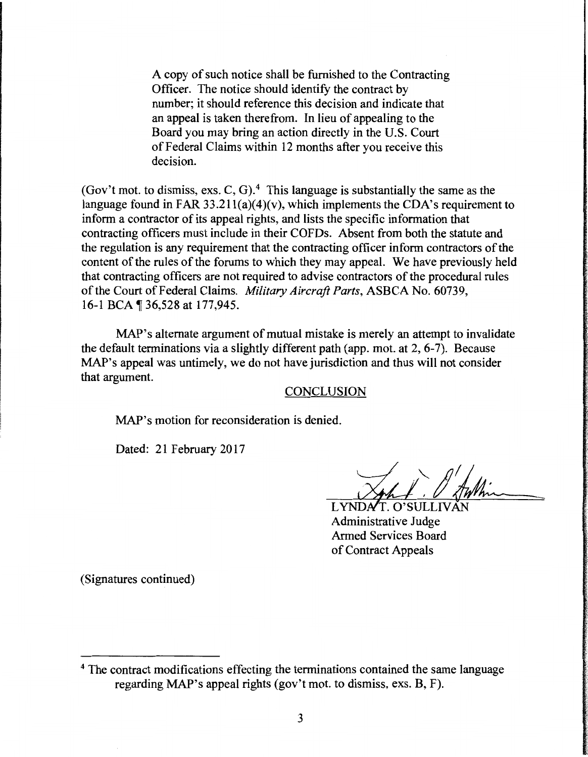A copy of such notice shall be furnished to the Contracting Officer. The notice should identify the contract by number; it should reference this decision and indicate that an appeal is taken therefrom. In lieu of appealing to the Board you may bring an action directly in the U.S. Court of Federal Claims within 12 months after you receive this decision.

(Gov't mot. to dismiss, exs. C, G).<sup>4</sup> This language is substantially the same as the language found in FAR  $33.211(a)(4)(v)$ , which implements the CDA's requirement to inform a contractor of its appeal rights, and lists the specific information that contracting officers must include in their COFDs. Absent from both the statute and the regulation is any requirement that the contracting officer inform contractors of the content of the rules of the forums to which they may appeal. We have previously held that contracting officers are not required to advise contractors of the procedural rules of the Court of Federal Claims. *Military Aircraft Parts,* ASBCA No. 60739, 16-1 BCA 136,528 at 177,945.

MAP's alternate argument of mutual mistake is merely an attempt to invalidate the default terminations via a slightly different path (app. mot. at 2, 6-7). Because MAP's appeal was untimely, we do not have jurisdiction and thus will not consider that argument.

CONCLUSION

MAP's motion for reconsideration is denied.

Dated: 21 February 2017

LYNDAT. O'SULLI Administrative Judge Armed Services Board of Contract Appeals

(Signatures continued)

<sup>&</sup>lt;sup>4</sup> The contract modifications effecting the terminations contained the same language regarding MAP's appeal rights (gov't mot. to dismiss, exs. B, F).